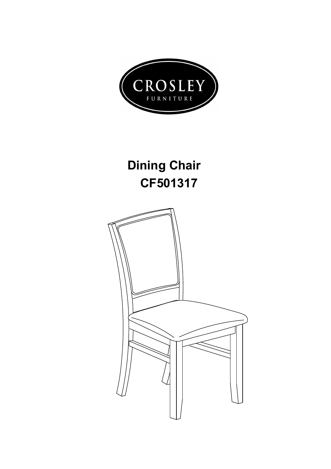

## **Dining Chair CF501317**

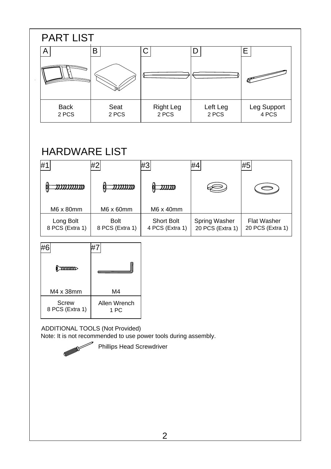| <b>PART LIST</b>     |               |                    |                   |                      |  |  |  |  |  |
|----------------------|---------------|--------------------|-------------------|----------------------|--|--|--|--|--|
| Α                    | B             |                    |                   | E                    |  |  |  |  |  |
|                      |               |                    |                   |                      |  |  |  |  |  |
| <b>Back</b><br>2 PCS | Seat<br>2 PCS | Right Leg<br>2 PCS | Left Leg<br>2 PCS | Leg Support<br>4 PCS |  |  |  |  |  |

## HARDWARE LIST

| '#                           | #2                             | #3                                   | #4                                       | #5                                     |
|------------------------------|--------------------------------|--------------------------------------|------------------------------------------|----------------------------------------|
|                              | שננננגני                       | WWW                                  |                                          |                                        |
| M6 x 80mm                    | $M6 \times 60$ mm              | M6 x 40mm                            |                                          |                                        |
| Long Bolt<br>8 PCS (Extra 1) | <b>Bolt</b><br>8 PCS (Extra 1) | <b>Short Bolt</b><br>4 PCS (Extra 1) | <b>Spring Washer</b><br>20 PCS (Extra 1) | <b>Flat Washer</b><br>20 PCS (Extra 1) |

| M4 x 38mm                       | M4                   |  |
|---------------------------------|----------------------|--|
| <b>Screw</b><br>8 PCS (Extra 1) | Allen Wrench<br>1 PC |  |

 $\blacktriangleright$ 

ADDITIONAL TOOLS (Not Provided) Note: It is not recommended to use power tools during assembly.

Phillips Head Screwdriver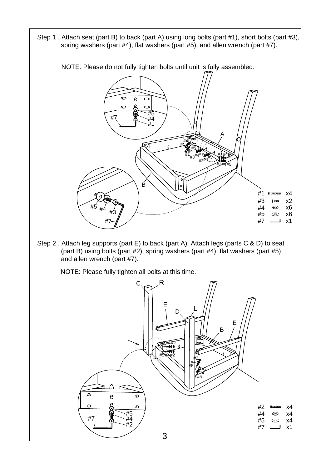Step 1 . Attach seat (part B) to back (part A) using long bolts (part #1), short bolts (part #3), spring washers (part #4), flat washers (part #5), and allen wrench (part #7).

NOTE: Please do not fully tighten bolts until unit is fully assembled.



3

#7 x1

#2